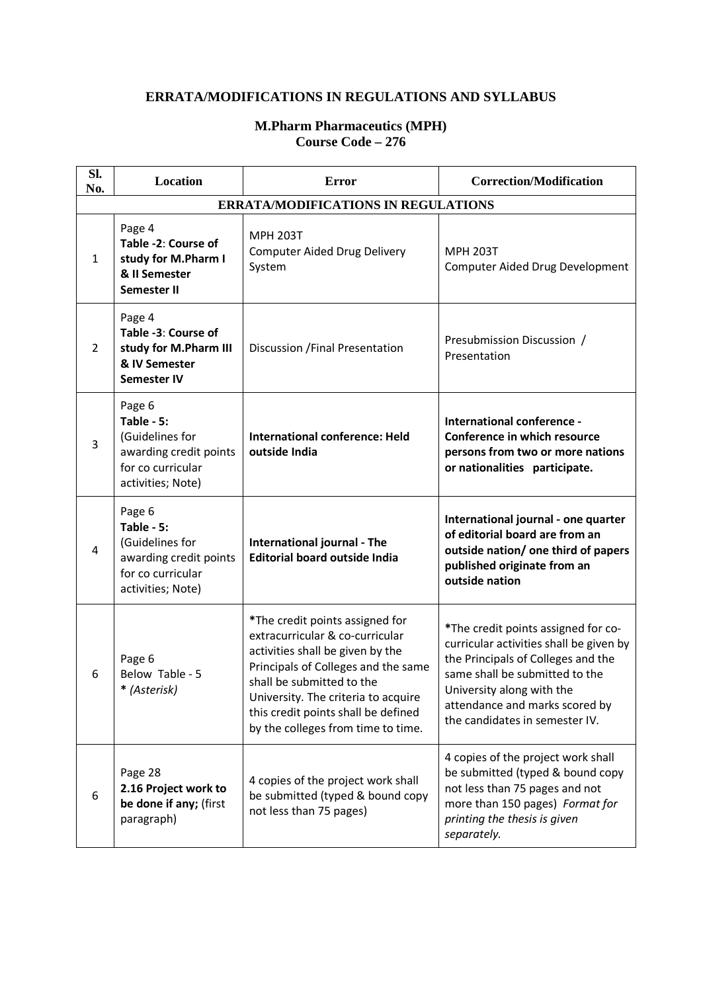## **ERRATA/MODIFICATIONS IN REGULATIONS AND SYLLABUS**

## **M.Pharm Pharmaceutics (MPH) Course Code – 276**

| Sl.<br>No.                                 | <b>Location</b>                                                                                             | <b>Error</b>                                                                                                                                                                                                                                                                                   | <b>Correction/Modification</b>                                                                                                                                                                                                                          |  |  |  |
|--------------------------------------------|-------------------------------------------------------------------------------------------------------------|------------------------------------------------------------------------------------------------------------------------------------------------------------------------------------------------------------------------------------------------------------------------------------------------|---------------------------------------------------------------------------------------------------------------------------------------------------------------------------------------------------------------------------------------------------------|--|--|--|
| <b>ERRATA/MODIFICATIONS IN REGULATIONS</b> |                                                                                                             |                                                                                                                                                                                                                                                                                                |                                                                                                                                                                                                                                                         |  |  |  |
| 1                                          | Page 4<br>Table -2: Course of<br>study for M.Pharm I<br>& II Semester<br><b>Semester II</b>                 | <b>MPH 203T</b><br><b>Computer Aided Drug Delivery</b><br>System                                                                                                                                                                                                                               | <b>MPH 203T</b><br>Computer Aided Drug Development                                                                                                                                                                                                      |  |  |  |
| $\overline{2}$                             | Page 4<br>Table -3: Course of<br>study for M.Pharm III<br>& IV Semester<br><b>Semester IV</b>               | Discussion / Final Presentation                                                                                                                                                                                                                                                                | Presubmission Discussion /<br>Presentation                                                                                                                                                                                                              |  |  |  |
| 3                                          | Page 6<br>Table - 5:<br>(Guidelines for<br>awarding credit points<br>for co curricular<br>activities; Note) | <b>International conference: Held</b><br>outside India                                                                                                                                                                                                                                         | International conference -<br>Conference in which resource<br>persons from two or more nations<br>or nationalities participate.                                                                                                                         |  |  |  |
| 4                                          | Page 6<br>Table - 5:<br>(Guidelines for<br>awarding credit points<br>for co curricular<br>activities; Note) | International journal - The<br><b>Editorial board outside India</b>                                                                                                                                                                                                                            | International journal - one quarter<br>of editorial board are from an<br>outside nation/ one third of papers<br>published originate from an<br>outside nation                                                                                           |  |  |  |
| 6                                          | Page 6<br>Below Table - 5<br>* (Asterisk)                                                                   | *The credit points assigned for<br>extracurricular & co-curricular<br>activities shall be given by the<br>Principals of Colleges and the same<br>shall be submitted to the<br>University. The criteria to acquire<br>this credit points shall be defined<br>by the colleges from time to time. | *The credit points assigned for co-<br>curricular activities shall be given by<br>the Principals of Colleges and the<br>same shall be submitted to the<br>University along with the<br>attendance and marks scored by<br>the candidates in semester IV. |  |  |  |
| 6                                          | Page 28<br>2.16 Project work to<br>be done if any; (first<br>paragraph)                                     | 4 copies of the project work shall<br>be submitted (typed & bound copy<br>not less than 75 pages)                                                                                                                                                                                              | 4 copies of the project work shall<br>be submitted (typed & bound copy<br>not less than 75 pages and not<br>more than 150 pages) Format for<br>printing the thesis is given<br>separately.                                                              |  |  |  |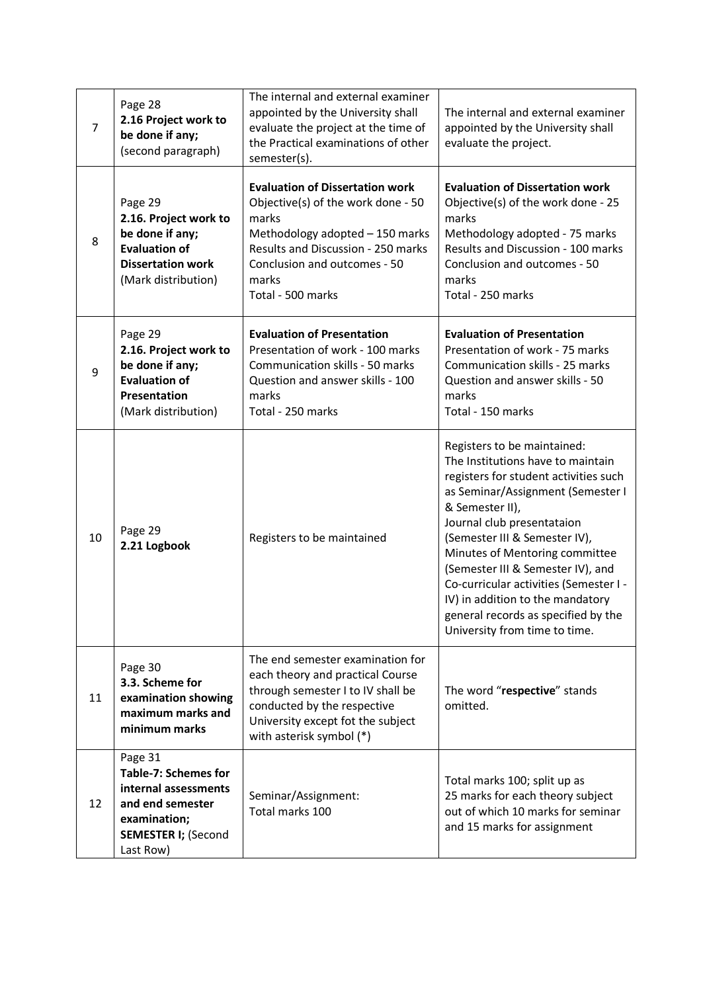| 7  | Page 28<br>2.16 Project work to<br>be done if any;<br>(second paragraph)                                                                      | The internal and external examiner<br>appointed by the University shall<br>evaluate the project at the time of<br>the Practical examinations of other<br>semester(s).                                                        | The internal and external examiner<br>appointed by the University shall<br>evaluate the project.                                                                                                                                                                                                                                                                                                                                                              |
|----|-----------------------------------------------------------------------------------------------------------------------------------------------|------------------------------------------------------------------------------------------------------------------------------------------------------------------------------------------------------------------------------|---------------------------------------------------------------------------------------------------------------------------------------------------------------------------------------------------------------------------------------------------------------------------------------------------------------------------------------------------------------------------------------------------------------------------------------------------------------|
| 8  | Page 29<br>2.16. Project work to<br>be done if any;<br><b>Evaluation of</b><br><b>Dissertation work</b><br>(Mark distribution)                | <b>Evaluation of Dissertation work</b><br>Objective(s) of the work done - 50<br>marks<br>Methodology adopted - 150 marks<br>Results and Discussion - 250 marks<br>Conclusion and outcomes - 50<br>marks<br>Total - 500 marks | <b>Evaluation of Dissertation work</b><br>Objective(s) of the work done - 25<br>marks<br>Methodology adopted - 75 marks<br>Results and Discussion - 100 marks<br>Conclusion and outcomes - 50<br>marks<br>Total - 250 marks                                                                                                                                                                                                                                   |
| 9  | Page 29<br>2.16. Project work to<br>be done if any;<br><b>Evaluation of</b><br>Presentation<br>(Mark distribution)                            | <b>Evaluation of Presentation</b><br>Presentation of work - 100 marks<br>Communication skills - 50 marks<br>Question and answer skills - 100<br>marks<br>Total - 250 marks                                                   | <b>Evaluation of Presentation</b><br>Presentation of work - 75 marks<br>Communication skills - 25 marks<br>Question and answer skills - 50<br>marks<br>Total - 150 marks                                                                                                                                                                                                                                                                                      |
| 10 | Page 29<br>2.21 Logbook                                                                                                                       | Registers to be maintained                                                                                                                                                                                                   | Registers to be maintained:<br>The Institutions have to maintain<br>registers for student activities such<br>as Seminar/Assignment (Semester I<br>& Semester II),<br>Journal club presentataion<br>(Semester III & Semester IV),<br>Minutes of Mentoring committee<br>(Semester III & Semester IV), and<br>Co-curricular activities (Semester I -<br>IV) in addition to the mandatory<br>general records as specified by the<br>University from time to time. |
| 11 | Page 30<br>3.3. Scheme for<br>examination showing<br>maximum marks and<br>minimum marks                                                       | The end semester examination for<br>each theory and practical Course<br>through semester I to IV shall be<br>conducted by the respective<br>University except fot the subject<br>with asterisk symbol (*)                    | The word "respective" stands<br>omitted.                                                                                                                                                                                                                                                                                                                                                                                                                      |
| 12 | Page 31<br><b>Table-7: Schemes for</b><br>internal assessments<br>and end semester<br>examination;<br><b>SEMESTER I; (Second</b><br>Last Row) | Seminar/Assignment:<br>Total marks 100                                                                                                                                                                                       | Total marks 100; split up as<br>25 marks for each theory subject<br>out of which 10 marks for seminar<br>and 15 marks for assignment                                                                                                                                                                                                                                                                                                                          |